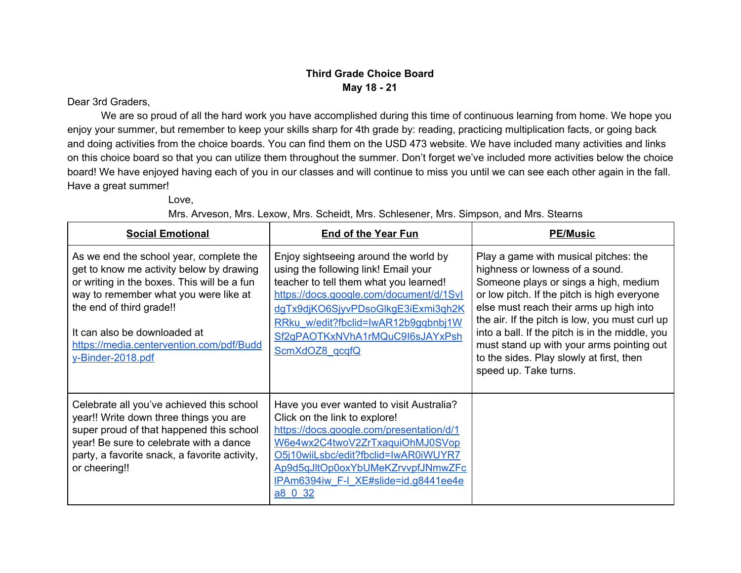### **Third Grade Choice Board May 18 - 21**

#### Dear 3rd Graders,

We are so proud of all the hard work you have accomplished during this time of continuous learning from home. We hope you enjoy your summer, but remember to keep your skills sharp for 4th grade by: reading, practicing multiplication facts, or going back and doing activities from the choice boards. You can find them on the USD 473 website. We have included many activities and links on this choice board so that you can utilize them throughout the summer. Don't forget we've included more activities below the choice board! We have enjoyed having each of you in our classes and will continue to miss you until we can see each other again in the fall. Have a great summer!

Love,

Mrs. Arveson, Mrs. Lexow, Mrs. Scheidt, Mrs. Schlesener, Mrs. Simpson, and Mrs. Stearns

| <b>Social Emotional</b>                                                                                                                                                                                                                                                                                  | <b>End of the Year Fun</b>                                                                                                                                                                                                                                                                             | <b>PE/Music</b>                                                                                                                                                                                                                                                                                                                                                                                                                    |  |  |  |  |  |
|----------------------------------------------------------------------------------------------------------------------------------------------------------------------------------------------------------------------------------------------------------------------------------------------------------|--------------------------------------------------------------------------------------------------------------------------------------------------------------------------------------------------------------------------------------------------------------------------------------------------------|------------------------------------------------------------------------------------------------------------------------------------------------------------------------------------------------------------------------------------------------------------------------------------------------------------------------------------------------------------------------------------------------------------------------------------|--|--|--|--|--|
| As we end the school year, complete the<br>get to know me activity below by drawing<br>or writing in the boxes. This will be a fun<br>way to remember what you were like at<br>the end of third grade!!<br>It can also be downloaded at<br>https://media.centervention.com/pdf/Budd<br>y-Binder-2018.pdf | Enjoy sightseeing around the world by<br>using the following link! Email your<br>teacher to tell them what you learned!<br>https://docs.google.com/document/d/1Svl<br>dgTx9djKO6SjyvPDsoGlkgE3iExmi3gh2K<br>RRku w/edit?fbclid=IwAR12b9gqbnbj1W<br>Sf2gPAOTKxNVhA1rMQuC9I6sJAYxPsh<br>ScmXdOZ8 gcgfQ   | Play a game with musical pitches: the<br>highness or lowness of a sound.<br>Someone plays or sings a high, medium<br>or low pitch. If the pitch is high everyone<br>else must reach their arms up high into<br>the air. If the pitch is low, you must curl up<br>into a ball. If the pitch is in the middle, you<br>must stand up with your arms pointing out<br>to the sides. Play slowly at first, then<br>speed up. Take turns. |  |  |  |  |  |
| Celebrate all you've achieved this school<br>year!! Write down three things you are<br>super proud of that happened this school<br>year! Be sure to celebrate with a dance<br>party, a favorite snack, a favorite activity,<br>or cheering!!                                                             | Have you ever wanted to visit Australia?<br>Click on the link to explore!<br>https://docs.google.com/presentation/d/1<br>W6e4wx2C4twoV2ZrTxaquiOhMJ0SVop<br>O5j10wiiLsbc/edit?fbclid=IwAR0iWUYR7<br>Ap9d5qJltOp0oxYbUMeKZrvvpfJNmwZFc<br>IPAm6394iw F-I XE#slide=id.g8441ee4e<br>$\underline{a8}$ 0 32 |                                                                                                                                                                                                                                                                                                                                                                                                                                    |  |  |  |  |  |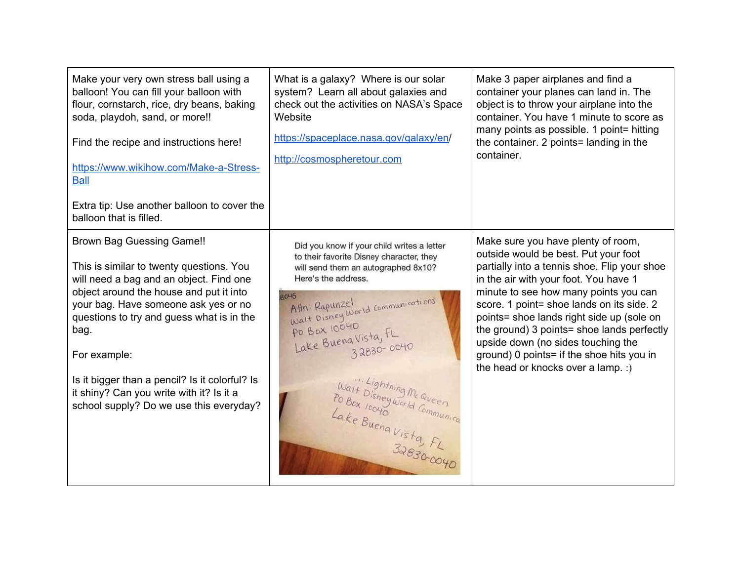| Make your very own stress ball using a<br>balloon! You can fill your balloon with<br>flour, cornstarch, rice, dry beans, baking<br>soda, playdoh, sand, or more!!<br>Find the recipe and instructions here!<br>https://www.wikihow.com/Make-a-Stress-<br><b>Ball</b><br>Extra tip: Use another balloon to cover the<br>balloon that is filled.                                                                           | What is a galaxy? Where is our solar<br>system? Learn all about galaxies and<br>check out the activities on NASA's Space<br>Website<br>https://spaceplace.nasa.gov/galaxy/en/<br>http://cosmospheretour.com                                                                                                                                                                                           | Make 3 paper airplanes and find a<br>container your planes can land in. The<br>object is to throw your airplane into the<br>container. You have 1 minute to score as<br>many points as possible. 1 point= hitting<br>the container. 2 points= landing in the<br>container.                                                                                                                                                                                                    |
|--------------------------------------------------------------------------------------------------------------------------------------------------------------------------------------------------------------------------------------------------------------------------------------------------------------------------------------------------------------------------------------------------------------------------|-------------------------------------------------------------------------------------------------------------------------------------------------------------------------------------------------------------------------------------------------------------------------------------------------------------------------------------------------------------------------------------------------------|-------------------------------------------------------------------------------------------------------------------------------------------------------------------------------------------------------------------------------------------------------------------------------------------------------------------------------------------------------------------------------------------------------------------------------------------------------------------------------|
| <b>Brown Bag Guessing Game!!</b><br>This is similar to twenty questions. You<br>will need a bag and an object. Find one<br>object around the house and put it into<br>your bag. Have someone ask yes or no<br>questions to try and guess what is in the<br>bag.<br>For example:<br>Is it bigger than a pencil? Is it colorful? Is<br>it shiny? Can you write with it? Is it a<br>school supply? Do we use this everyday? | Did you know if your child writes a letter<br>to their favorite Disney character, they<br>will send them an autographed 8x10?<br>Here's the address.<br><b>RO45</b><br>Attn: Rapunzel<br>Walt Disney World Communications<br><b>PO BOX 10040</b><br>Lake Buena Vista, FL<br>32830-0040<br>Wait Lightning McQueen<br>Po Box looyo world Communica<br>C Box Toone<br>Lake Buena Vista, FL<br>32830-0040 | Make sure you have plenty of room,<br>outside would be best. Put your foot<br>partially into a tennis shoe. Flip your shoe<br>in the air with your foot. You have 1<br>minute to see how many points you can<br>score. 1 point= shoe lands on its side. 2<br>points= shoe lands right side up (sole on<br>the ground) 3 points= shoe lands perfectly<br>upside down (no sides touching the<br>ground) 0 points= if the shoe hits you in<br>the head or knocks over a lamp. :) |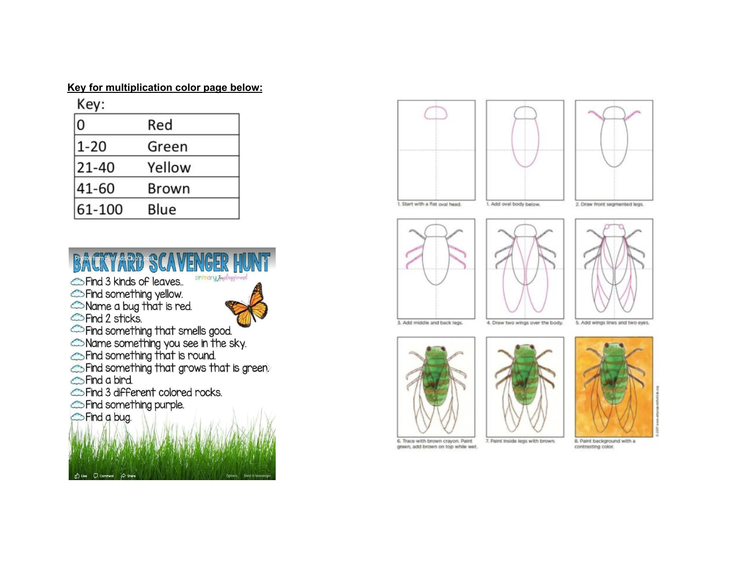#### Key for multiplication color page below:

 $\overline{ }$ 

| Red    |  |
|--------|--|
| Green  |  |
| Yellow |  |
| Brown  |  |
| Blue   |  |
|        |  |













3. Add middle and back legs.

4. Draw two wings over the body. 5. Add wings lines and two eyes.



green, add brown on top while wet.



7. Paint inside legs with brown.

8. Paint background with a contrasting color.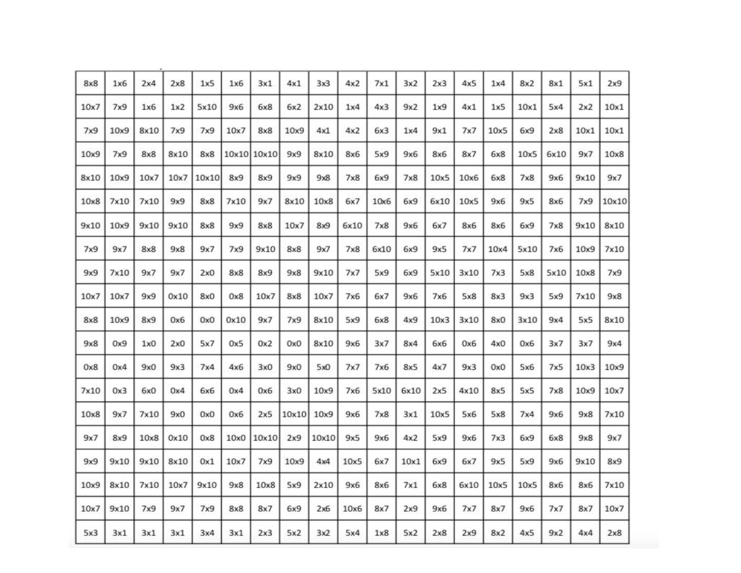| 8x8  | 1x6  | 2x4             | 2x8  | 1x5   | 1x6  | 3x1         | 4x1   | 3x3             | 4x2  | 7x1  | 3x2  | 2x3  | 4x5  | 1x4  | 8x2  | 8x1  | 5x1  | 2x9   |
|------|------|-----------------|------|-------|------|-------------|-------|-----------------|------|------|------|------|------|------|------|------|------|-------|
| 10x7 | 7x9  | 1x6             | 1x2  | 5x10  | 9x6  | 6x8         | 6x2   | 2x10            | 1x4  | 4x3  | 9x2  | 1x9  | 4x1  | 1x5  | 10x1 | 5x4  | 2x2  | 10x1  |
| 7x9  | 10x9 | 8x10            | 7x9  | 7x9   | 10x7 | 8x8         | 10x9  | 4x1             | 4x2  | 6x3  | 1x4  | 9x1  | 7x7  | 10x5 | 6x9  | 2x8  | 10x1 | 10x1  |
| 10x9 | 7x9  | 8x8             | 8x10 | 8x8   |      | 10x10 10x10 | 9x9   | 8x10            | 8x6  | 5x9  | 9x6  | 8x6  | 8x7  | 6x8  | 10x5 | 6x10 | 9x7  | 10x8  |
| 8x10 | 10x9 | 10x7            | 10x7 | 10×10 | 8x9  | 8x9         | 9x9   | 9x8             | 7x8  | 6x9  | 7x8  | 10x5 | 10x6 | 6x8  | 7x8  | 9x6  | 9x10 | 9x7   |
| 10x8 | 7x10 | 7x10            | 9x9  | 8x8   | 7x10 | 9x7         | 8x10  | 10x8            | 6x7  | 10x6 | 6x9  | 6x10 | 10x5 | 9x6  | 9x5  | 8x6  | 7x9  | 10×10 |
| 9x10 | 10x9 | 9x10            | 9x10 | 8x8   | 9x9  | 8x8         | 10x7  | 8x9             | 6x10 | 7x8  | 9x6  | 6x7  | 8x6  | 8x6  | 6x9  | 7x8  | 9x10 | 8x10  |
| 7x9  | 9x7  | 8x8             | 9x8  | 9x7   | 7x9  | 9x10        | 8x8   | 9x7             | 7x8  | 6x10 | 6x9  | 9x5  | 7x7  | 10x4 | 5x10 | 7x6  | 10x9 | 7x10  |
| 9x9  | 7x10 | 9x7             | 9x7  | 2x0   | 8x8  | 8x9         | 9x8   | 9x10            | 7x7  | 5x9  | 6x9  | 5x10 | 3x10 | 7x3  | 5x8  | 5x10 | 10x8 | 7x9   |
| 10x7 | 10x7 | 9x9             | 0x10 | 8x0   | 0x8  | 10x7        | 8x8   | 10x7            | 7x6  | 6x7  | 9x6  | 7x6  | 5x8  | 8x3  | 9x3  | 5x9  | 7x10 | 9x8   |
| 8x8  | 10x9 | 8x9             | 0x6  | 0x0   | 0x10 | 9x7         | 7x9   | 8x10            | 5x9  | 6x8  | 4x9  | 10x3 | 3x10 | 8x0  | 3x10 | 9x4  | 5x5  | 8x10  |
| 9x8  | 0x9  | 1x0             | 2x0  | 5x7   | 0x5  | 0x2         | 0x0   | 8x10            | 9x6  | 3x7  | 8x4  | 6x6  | 0x6  | 4x0  | 0x6  | 3x7  | 3x7  | 9x4   |
| 0x8  | 0x4  | 9x0             | 9x3  | 7x4   | 4x6  | 3x0         | 9x0   | 5x <sub>0</sub> | 7x7  | 7x6  | 8x5  | 4x7  | 9x3  | 0x0  | 5x6  | 7x5  | 10x3 | 10x9  |
| 7x10 | 0x3  | 6x <sub>0</sub> | 0x4  | 6x6   | 0x4  | 0x6         | 3x0   | 10x9            | 7x6  | 5x10 | 6x10 | 2x5  | 4x10 | 8x5  | 5x5  | 7x8  | 10x9 | 10x7  |
| 10x8 | 9x7  | 7x10            | 9x0  | 0x0   | 0x6  | 2x5         | 10×10 | 10x9            | 9x6  | 7x8  | 3x1  | 10x5 | 5x6  | 5x8  | 7x4  | 9x6  | 9x8  | 7x10  |
| 9x7  | 8x9  | 10x8            | 0x10 | 0x8   | 10x0 | 10×10       | 2x9   | 10×10           | 9x5  | 9x6  | 4x2  | 5x9  | 9x6  | 7x3  | 6x9  | 6x8  | 9x8  | 9x7   |
| 9x9  | 9x10 | 9x10            | 8x10 | 0x1   | 10x7 | 7x9         | 10x9  | 4x4             | 10x5 | 6x7  | 10x1 | 6x9  | 6x7  | 9x5  | 5x9  | 9x6  | 9x10 | 8x9   |
| 10x9 | 8x10 | 7x10            | 10x7 | 9x10  | 9x8  | 10x8        | 5x9   | 2x10            | 9x6  | 8x6  | 7x1  | 6x8  | 6x10 | 10x5 | 10x5 | 8x6  | 8x6  | 7x10  |
| 10x7 | 9x10 | 7x9             | 9x7  | 7x9   | 8x8  | 8x7         | 6x9   | 2x6             | 10x6 | 8x7  | 2x9  | 9x6  | 7x7  | 8x7  | 9x6  | 7x7  | 8x7  | 10x7  |
| 5x3  | 3x1  | 3x1             | 3x1  | 3x4   | 3x1  | 2x3         | 5x2   | 3x2             | 5x4  | 1x8  | 5x2  | 2x8  | 2x9  | 8x2  | 4x5  | 9x2  | 4x4  | 2x8   |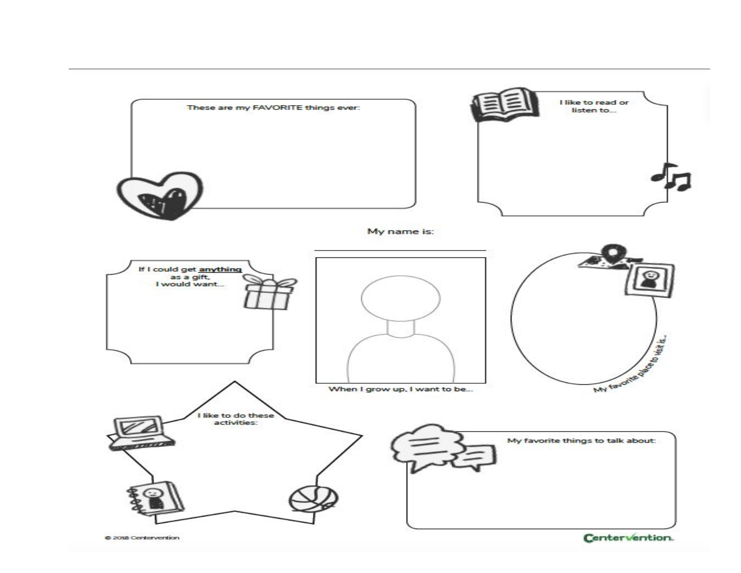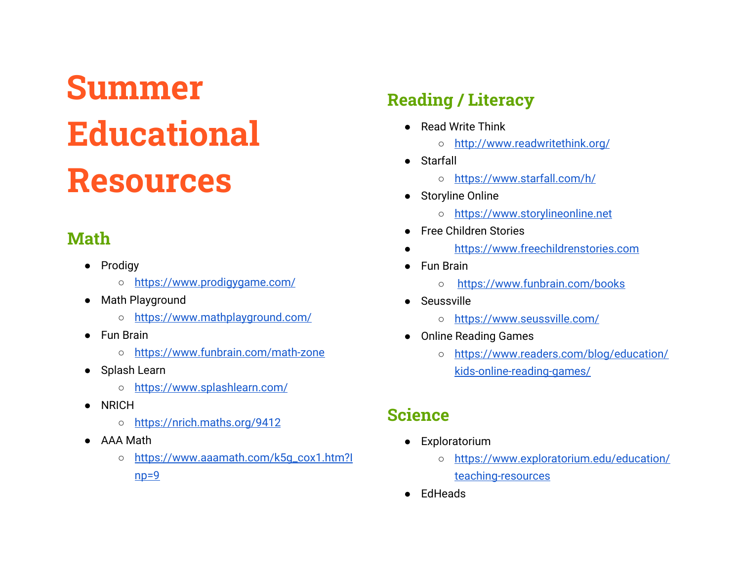# **Summer Educational Resources**

# **Math**

- Prodigy
	- <https://www.prodigygame.com/>
- Math Playground
	- <https://www.mathplayground.com/>
- Fun Brain
	- <https://www.funbrain.com/math-zone>
- Splash Learn
	- <https://www.splashlearn.com/>
- NRICH
	- <https://nrich.maths.org/9412>
- AAA Math
	- [https://www.aaamath.com/k5g\\_cox1.htm?I](https://www.aaamath.com/k5g_cox1.htm?Inp=9)  $np=9$

# **Reading / Literacy**

- Read Write Think
	- <http://www.readwritethink.org/>
- Starfall
	- <https://www.starfall.com/h/>
- Storyline Online
	- [https://www.storylineonline.net](https://www.storylineonline.net/)
- **Free Children Stories**
- [https://www.freechildrenstories.com](https://www.freechildrenstories.com/)
- Fun Brain
	- <https://www.funbrain.com/books>
- Seussville
	- <https://www.seussville.com/>
- Online Reading Games
	- [https://www.readers.com/blog/education/](https://www.readers.com/blog/education/kids-online-reading-games/) [kids-online-reading-games/](https://www.readers.com/blog/education/kids-online-reading-games/)

## **Science**

- Exploratorium
	- [https://www.exploratorium.edu/education/](https://www.exploratorium.edu/education/teaching-resources) [teaching-resources](https://www.exploratorium.edu/education/teaching-resources)
- EdHeads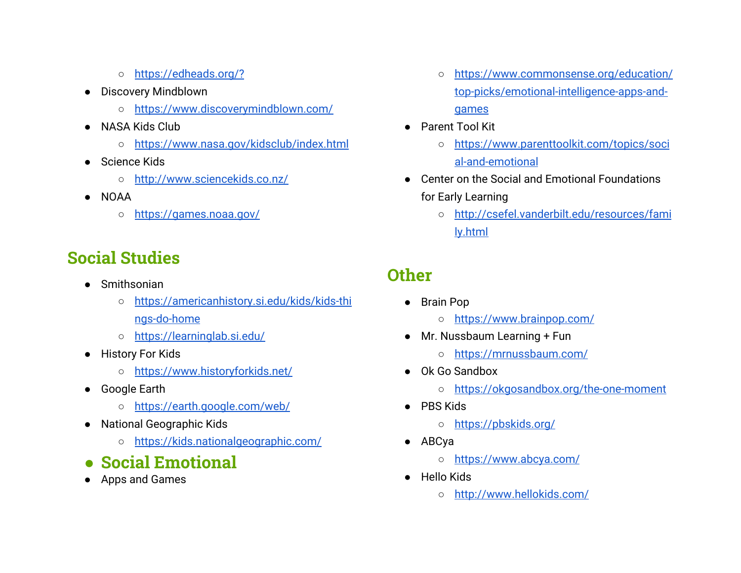- <https://edheads.org/?>
- Discovery Mindblown
	- <https://www.discoverymindblown.com/>
- NASA Kids Club
	- <https://www.nasa.gov/kidsclub/index.html>
- Science Kids
	- <http://www.sciencekids.co.nz/>
- NOAA
	- o <https://games.noaa.gov/>

## **Social Studies**

- Smithsonian
	- [https://americanhistory.si.edu/kids/kids-thi](https://americanhistory.si.edu/kids/kids-things-do-home) [ngs-do-home](https://americanhistory.si.edu/kids/kids-things-do-home)
	- <https://learninglab.si.edu/>
- History For Kids
	- <https://www.historyforkids.net/>
- Google Earth
	- <https://earth.google.com/web/>
- National Geographic Kids
	- <https://kids.nationalgeographic.com/>
- **● Social Emotional**
- Apps and Games
- [https://www.commonsense.org/education/](https://www.commonsense.org/education/top-picks/emotional-intelligence-apps-and-games) [top-picks/emotional-intelligence-apps-and](https://www.commonsense.org/education/top-picks/emotional-intelligence-apps-and-games)[games](https://www.commonsense.org/education/top-picks/emotional-intelligence-apps-and-games)
- Parent Tool Kit
	- [https://www.parenttoolkit.com/topics/soci](https://www.parenttoolkit.com/topics/social-and-emotional) [al-and-emotional](https://www.parenttoolkit.com/topics/social-and-emotional)
- Center on the Social and Emotional Foundations for Early Learning
	- [http://csefel.vanderbilt.edu/resources/fami](http://csefel.vanderbilt.edu/resources/family.html) [ly.html](http://csefel.vanderbilt.edu/resources/family.html)

## **Other**

- Brain Pop
	- <https://www.brainpop.com/>
- Mr. Nussbaum Learning + Fun
	- <https://mrnussbaum.com/>
- Ok Go Sandbox
	- <https://okgosandbox.org/the-one-moment>
- PBS Kids
	- <https://pbskids.org/>
- ABCya
	- <https://www.abcya.com/>
- Hello Kids
	- <http://www.hellokids.com/>